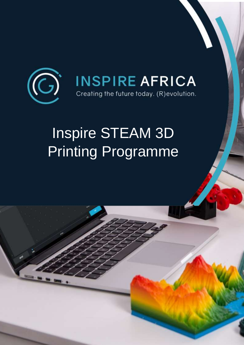

# Inspire STEAM 3D Printing Programme

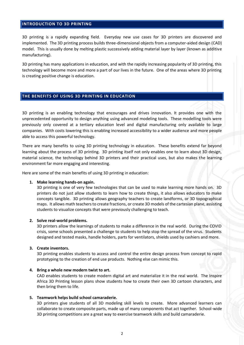# **INTRODUCTION TO 3D PRINTING**

3D printing is a rapidly expanding field. Everyday new use cases for 3D printers are discovered and implemented. The 3D printing process builds three-dimensional objects from a computer-aided design (CAD) model. This is usually done by melting plastic successively adding material layer by layer (known as additive manufacturing).

3D printing has many applications in education, and with the rapidly increasing popularity of 3D printing, this technology will become more and more a part of our lives in the future. One of the areas where 3D printing is creating positive change is education.

#### **THE BENEFITS OF USING 3D PRINTING IN EDUCATION**

3D printing is an enabling technology that encourages and drives innovation. It provides one with the unprecedented opportunity to design anything using advanced modeling tools. These modelling tools were previously only covered at a tertiary education level and digital manufacturing only available to large companies. With costs lowering this is enabling increased accessibility to a wider audience and more people able to access this powerful technology.

There are many benefits to using 3D printing technology in education. These benefits extend far beyond learning about the process of 3D printing. 3D printing itself not only enables one to learn about 3D design, material science, the technology behind 3D printers and their practical uses, but also makes the learning environment far more engaging and interesting.

Here are some of the main benefits of using 3D printing in education:

#### **1. Make learning hands-on again.**

3D printing is one of very few technologies that can be used to make learning more hands on. 3D printers do not just allow students to learn how to create things, it also allows educators to make concepts tangible. 3D printing allows geography teachers to create landforms, or 3D topographical maps. It allows math teachers to create fractions, or create 3D models of the cartesian plane, assisting students to visualize concepts that were previously challenging to teach.

#### **2. Solve real-world problems.**

3D printers allow the learnings of students to make a difference in the real world. During the COVID crisis, some schools presented a challenge to students to help stop the spread of the virus. Students designed and tested masks, handle holders, parts for ventilators, shields used by cashiers and more.

#### **3. Create inventors.**

3D printing enables students to access and control the entire design process from concept to rapid prototyping to the creation of end use products. Nothing else can mimic this.

#### **4. Bring a whole new modern twist to art.**

CAD enables students to create modern digital art and materialize it in the real world. The Inspire Africa 3D Printing lesson plans show students how to create their own 3D cartoon characters, and then bring them to life.

#### **5. Teamwork helps build school camaraderie.**

3D printers give students of all 3D modeling skill levels to create. More advanced learners can collaborate to create composite parts, made up of many components that act together. School-wide 3D printing competitions are a great way to exercise teamwork skills and build camaraderie.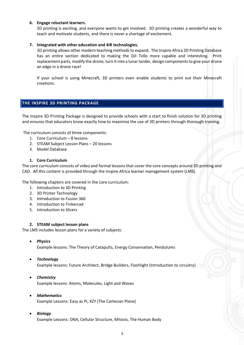#### **6. Engage reluctant learners.**

3D printing is exciting, and everyone wants to get involved. 3D printing creates a wonderful way to teach and motivate students, and there is never a shortage of excitement.

#### **7. Integrated with other education and 4iR technologies.**

3D printing allows other modern teaching methods to expand. The Inspire Africa 3D Printing Database has an entire section dedicated to making the DJI Tello more capable and interesting. Print replacement parts, modify the drone, turn it into a lunar lander, design components to give your drone an edge in a drone race!

If your school is using Minecraft, 3D printers even enable students to print out their Minecraft creations.

# **THE INSPIRE 3D PRINTING PACKAGE**

The Inspire 3D Printing Package is designed to provide schools with a start to finish solution for 3D printing and ensures that educators know exactly how to maximise the use of 3D printers through thorough training.

The curriculum consists of three components:

- 1. Core Curriculum 8 lessons
- 2. STEAM Subject Lesson Plans 20 lessons
- 3. Model Database

#### **1. Core Curriculum**

The core curriculum consists of video and formal lessons that cover the core concepts around 3D printing and CAD. All this content is provided through the Inspire Africa learner management system (LMS).

The following chapters are covered in the core curriculum:

- 1. Introduction to 3D Printing
- 2. 3D Printer Technology
- 3. Introduction to Fusion 360
- 4. Introduction to Tinkercad
- 5. Introduction to Slicers

#### **2. STEAM subject lesson plans**

The LMS includes lesson plans for a variety of subjects:

• *Physics*

Example lessons: The Theory of Catapults, Energy Conservation, Pendulums

• *Technology*

Example lessons: Future Architect, Bridge Builders, Flashlight (Introduction to circuitry)

- *Chemistry* Example lessons: Atoms, Molecules, Light and Waves
- *Mathematics* Example Lessons: Easy as Pi, XZY (The Cartesian Plane)
- *Biology*

Example Lessons: DNA, Cellular Structure, Mitosis, The Human Body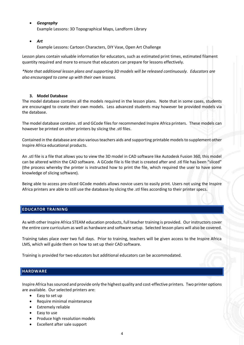• *Geography*

Example Lessons: 3D Topographical Maps, Landform Library

• *Art*

Example Lessons: Cartoon Characters, DIY Vase, Open Art Challenge

Lesson plans contain valuable information for educators, such as estimated print times, estimated filament quantity required and more to ensure that educators can prepare for lessons effectively.

*\*Note that additional lesson plans and supporting 3D models will be released continuously. Educators are also encouraged to come up with their own lessons.*

## **3. Model Database**

The model database contains all the models required in the lesson plans. Note that in some cases, students are encouraged to create their own models. Less advanced students may however be provided models via the database.

The model database contains. stl and GCode files for recommended Inspire Africa printers. These models can however be printed on other printers by slicing the .stl files.

Contained in the database are also various teachers aids and supporting printable models to supplement other Inspire Africa educational products.

An .stl file is a file that allows you to view the 3D model in CAD software like Autodesk Fusion 360, this model can be altered within the CAD software. A GCode file is file that is created after and .stl file has been "sliced" (the process whereby the printer is instructed how to print the file, which required the user to have some knowledge of slicing software).

Being able to access pre-sliced GCode models allows novice users to easily print. Users not using the Inspire Africa printers are able to still use the database by slicing the .stl files according to their printer specs.

## **EDUCATOR TRAINING**

As with other Inspire Africa STEAM education products, full teacher training is provided. Our instructors cover the entire core curriculum as well as hardware and software setup. Selected lesson plans will also be covered.

Training takes place over two full days. Prior to training, teachers will be given access to the Inspire Africa LMS, which will guide them on how to set up their CAD software.

Training is provided for two educators but additional educators can be accommodated.

# **HARDWARE**

Inspire Africa has sourced and provide only the highest quality and cost-effective printers. Two printer options are available. Our selected printers are:

- Easy to set up
- Require minimal maintenance
- Extremely reliable
- Easy to use
- Produce high resolution models
- Excellent after sale support